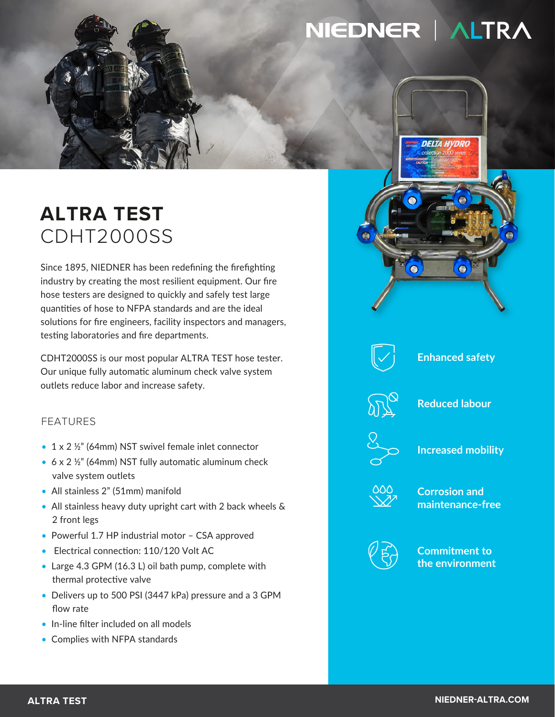# NIEDNER | ALTRA

**DELTA HYDRO** 

# **ALTRA TEST** CDHT2000SS

Since 1895, NIEDNER has been redefining the firefighting industry by creating the most resilient equipment. Our fire hose testers are designed to quickly and safely test large quantities of hose to NFPA standards and are the ideal solutions for fire engineers, facility inspectors and managers, testing laboratories and fire departments.

CDHT2000SS is our most popular ALTRA TEST hose tester. Our unique fully automatic aluminum check valve system outlets reduce labor and increase safety.

## FEATURES

- 1 x 2 ½" (64mm) NST swivel female inlet connector
- 6 x 2 ½" (64mm) NST fully automatic aluminum check valve system outlets
- All stainless 2" (51mm) manifold
- All stainless heavy duty upright cart with 2 back wheels & 2 front legs
- Powerful 1.7 HP industrial motor CSA approved
- Electrical connection: 110/120 Volt AC
- Large 4.3 GPM (16.3 L) oil bath pump, complete with thermal protective valve
- Delivers up to 500 PSI (3447 kPa) pressure and a 3 GPM flow rate
- In-line filter included on all models
- Complies with NFPA standards



 $\Omega$ 





**Reduced labour**



**Increased mobility**



**Corrosion and maintenance-free**



**Commitment to the environment**